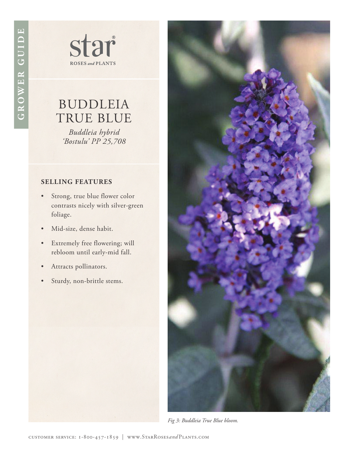star **ROSES** and **PLANTS** 

# BUDDLEIA TRUE BLUE

*Buddleia hybrid 'Bostulu' PP 25,708*

## **SELLING FEATURES**

- Strong, true blue flower color contrasts nicely with silver-green foliage.
- Mid-size, dense habit.
- Extremely free flowering; will rebloom until early-mid fall.
- Attracts pollinators.
- Sturdy, non-brittle stems.



*Fig 3: Buddleia True Blue bloom.*